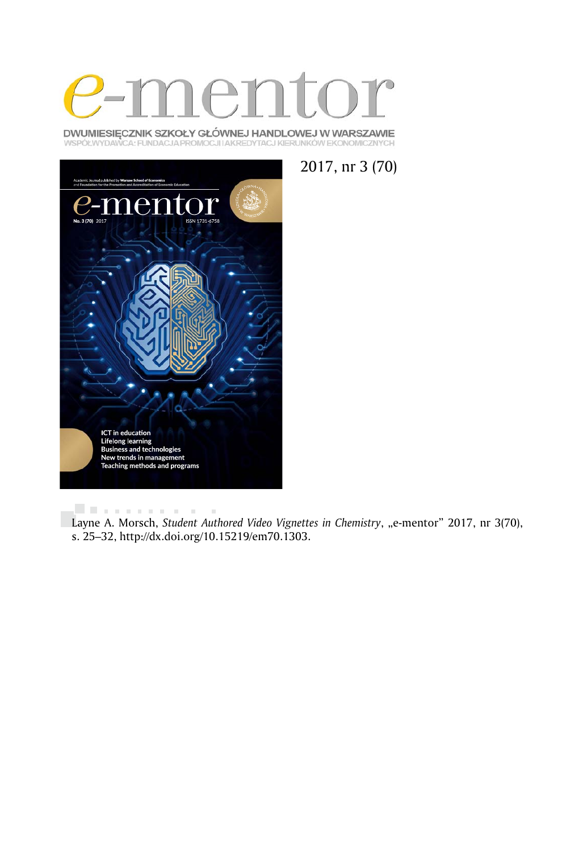

DWUMIESIĘCZNIK SZKOŁY GŁÓWNEJ HANDLOWEJ W WARSZAWIE WSPÓŁWYDAWCA: FUNDACJA PROMOCJI I AKREDYTACJ KIERUNKÓW EKONOMICZNYCH



2017, nr 3 (70)

**Literature**  $\alpha$ Layne A. Morsch, *Student Authored Video Vignettes in Chemistry*, "e-mentor" 2017, nr 3(70), s. 25–32, http://dx.doi.org/10.15219/em70.1303.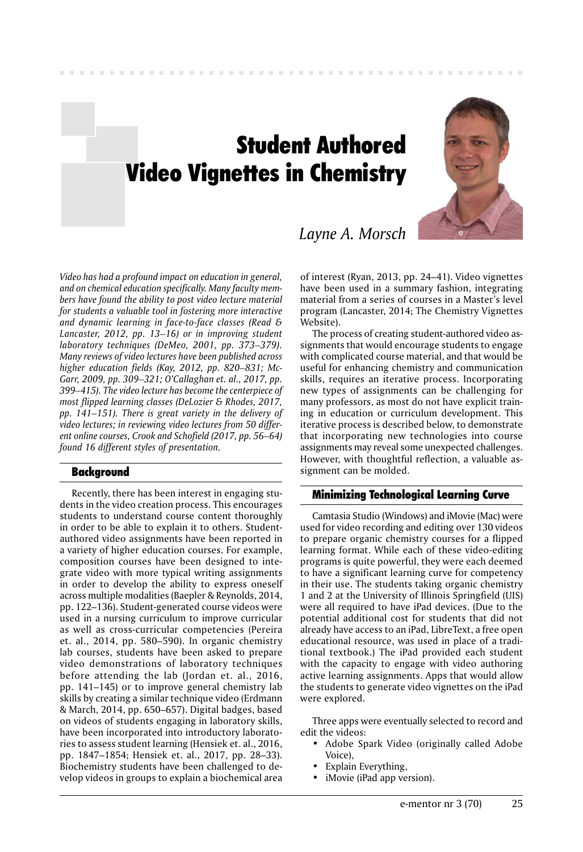# Student Authored Video Vignettes in Chemistry



*Layne A. Morsch*

*Video has had a profound impact on education in general, and on chemical education specifically. Many faculty members have found the ability to post video lecture material for students a valuable tool in fostering more interactive and dynamic learning in face-to-face classes (Read & Lancaster, 2012, pp. 13–16) or in improving student laboratory techniques (DeMeo, 2001, pp. 373–379). Many reviews of video lectures have been published across higher education fields (Kay, 2012, pp. 820–831; Mc-Garr, 2009, pp. 309–321; O'Callaghan et. al., 2017, pp. 399–415). The video lecture has become the centerpiece of most flipped learning classes (DeLozier & Rhodes, 2017, pp. 141–151). There is great variety in the delivery of video lectures; in reviewing video lectures from 50 different online courses, Crook and Schofield (2017, pp. 56–64) found 16 different styles of presentation.*

# Background

Recently, there has been interest in engaging students in the video creation process. This encourages students to understand course content thoroughly in order to be able to explain it to others. Studentauthored video assignments have been reported in a variety of higher education courses. For example, composition courses have been designed to integrate video with more typical writing assignments in order to develop the ability to express oneself across multiple modalities (Baepler & Reynolds, 2014, pp. 122–136). Student-generated course videos were used in a nursing curriculum to improve curricular as well as cross-curricular competencies (Pereira et. al., 2014, pp. 580–590). In organic chemistry lab courses, students have been asked to prepare video demonstrations of laboratory techniques before attending the lab (Jordan et. al., 2016, pp. 141–145) or to improve general chemistry lab skills by creating a similar technique video (Erdmann & March, 2014, pp. 650–657). Digital badges, based on videos of students engaging in laboratory skills, have been incorporated into introductory laboratories to assess student learning (Hensiek et. al., 2016, pp. 1847–1854; Hensiek et. al., 2017, pp. 28–33). Biochemistry students have been challenged to develop videos in groups to explain a biochemical area

of interest (Ryan, 2013, pp. 24–41). Video vignettes have been used in a summary fashion, integrating material from a series of courses in a Master's level program (Lancaster, 2014; The Chemistry Vignettes Website).

The process of creating student-authored video assignments that would encourage students to engage with complicated course material, and that would be useful for enhancing chemistry and communication skills, requires an iterative process. Incorporating new types of assignments can be challenging for many professors, as most do not have explicit training in education or curriculum development. This iterative process is described below, to demonstrate that incorporating new technologies into course assignments may reveal some unexpected challenges. However, with thoughtful reflection, a valuable assignment can be molded.

# Minimizing Technological Learning Curve

Camtasia Studio (Windows) and iMovie (Mac) were used for video recording and editing over 130 videos to prepare organic chemistry courses for a flipped learning format. While each of these video-editing programs is quite powerful, they were each deemed to have a significant learning curve for competency in their use. The students taking organic chemistry 1 and 2 at the University of Illinois Springfield (UIS) were all required to have iPad devices. (Due to the potential additional cost for students that did not already have access to an iPad, LibreText, a free open educational resource, was used in place of a traditional textbook.) The iPad provided each student with the capacity to engage with video authoring active learning assignments. Apps that would allow the students to generate video vignettes on the iPad were explored.

Three apps were eventually selected to record and edit the videos:

- Adobe Spark Video (originally called Adobe Voice),
- Explain Everything,
- iMovie (iPad app version).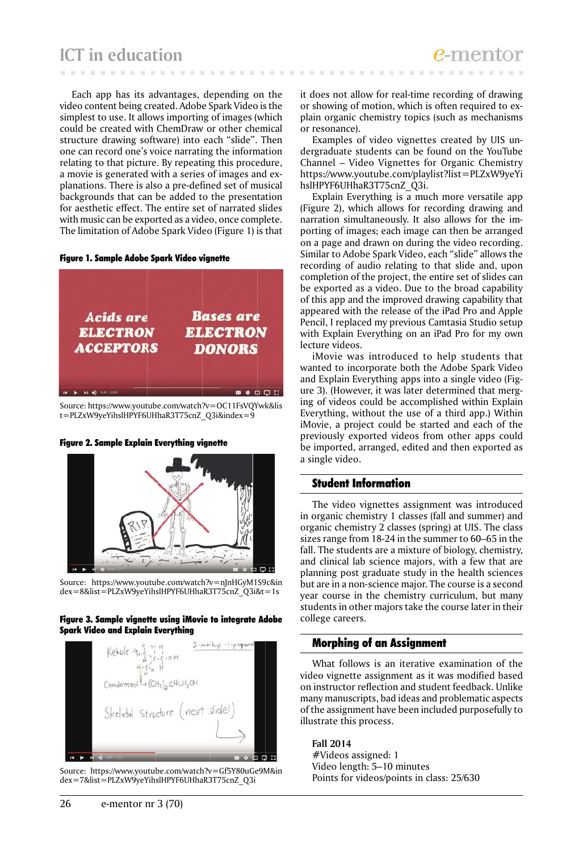Each app has its advantages, depending on the video content being created. Adobe Spark Video is the simplest to use. It allows importing of images (which could be created with ChemDraw or other chemical structure drawing software) into each "slide". Then one can record one's voice narrating the information relating to that picture. By repeating this procedure, a movie is generated with a series of images and explanations. There is also a pre-defined set of musical backgrounds that can be added to the presentation for aesthetic effect. The entire set of narrated slides with music can be exported as a video, once complete. The limitation of Adobe Spark Video (Figure 1) is that

#### Figure 1. Sample Adobe Spark Video vignette



Source: https://www.youtube.com/watch?v=OC11FsVQYwk&lis t=PLZxW9yeYihslHPYF6UHhaR3T75cnZ\_Q3i&index=9

#### Figure 2. Sample Explain Everything vignette



Source: https://www.youtube.com/watch?v=nJnHGyM1S9c&in dex=8&list=PLZxW9yeYihslHPYF6UHhaR3T75cnZ\_Q3i&t=1s

#### Figure 3. Sample vignette using iMovie to integrate Adobe Spark Video and Explain Everything



Source: https://www.youtube.com/watch?v=Gf5Y80uGe9M&in dex=7&list=PLZxW9yeYihslHPYF6UHhaR3T75cnZ\_Q3i

it does not allow for real-time recording of drawing or showing of motion, which is often required to explain organic chemistry topics (such as mechanisms or resonance).

Examples of video vignettes created by UIS undergraduate students can be found on the YouTube Channel – Video Vignettes for Organic Chemistry https://www.youtube.com/playlist?list=PLZxW9yeYi hslHPYF6UHhaR3T75cnZ\_Q3i.

Explain Everything is a much more versatile app (Figure 2), which allows for recording drawing and narration simultaneously. It also allows for the importing of images; each image can then be arranged on a page and drawn on during the video recording. Similar to Adobe Spark Video, each "slide" allows the recording of audio relating to that slide and, upon completion of the project, the entire set of slides can be exported as a video. Due to the broad capability of this app and the improved drawing capability that appeared with the release of the iPad Pro and Apple Pencil, I replaced my previous Camtasia Studio setup with Explain Everything on an iPad Pro for my own lecture videos.

iMovie was introduced to help students that wanted to incorporate both the Adobe Spark Video and Explain Everything apps into a single video (Figure 3). (However, it was later determined that merging of videos could be accomplished within Explain Everything, without the use of a third app.) Within iMovie, a project could be started and each of the previously exported videos from other apps could be imported, arranged, edited and then exported as a single video.

# Student Information

The video vignettes assignment was introduced in organic chemistry 1 classes (fall and summer) and organic chemistry 2 classes (spring) at UIS. The class sizes range from 18-24 in the summer to 60–65 in the fall. The students are a mixture of biology, chemistry, and clinical lab science majors, with a few that are planning post graduate study in the health sciences but are in a non-science major. The course is a second year course in the chemistry curriculum, but many students in other majors take the course later in their college careers.

### Morphing of an Assignment

What follows is an iterative examination of the video vignette assignment as it was modified based on instructor reflection and student feedback. Unlike many manuscripts, bad ideas and problematic aspects of the assignment have been included purposefully to illustrate this process.

**Fall 2014** #Videos assigned: 1 Video length: 5–10 minutes Points for videos/points in class: 25/630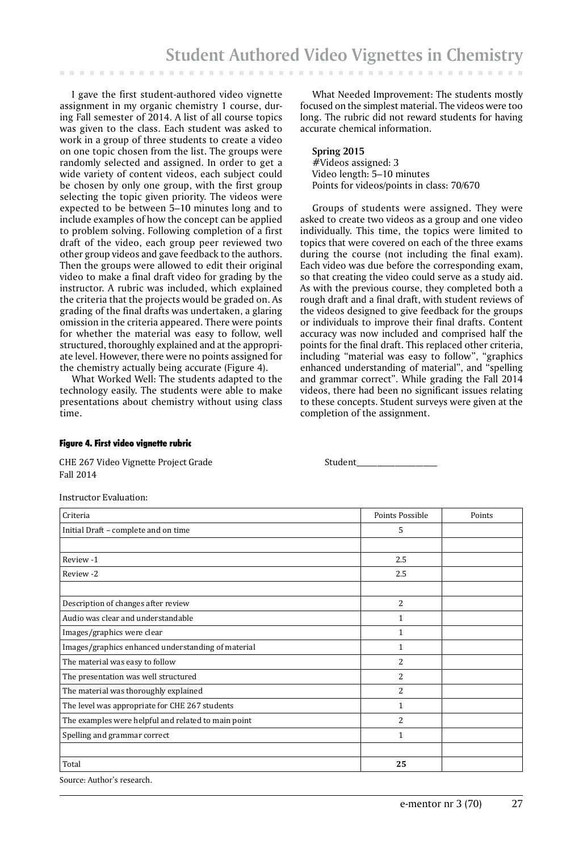I gave the first student-authored video vignette assignment in my organic chemistry 1 course, during Fall semester of 2014. A list of all course topics was given to the class. Each student was asked to work in a group of three students to create a video on one topic chosen from the list. The groups were randomly selected and assigned. In order to get a wide variety of content videos, each subject could be chosen by only one group, with the first group selecting the topic given priority. The videos were expected to be between 5–10 minutes long and to include examples of how the concept can be applied to problem solving. Following completion of a first draft of the video, each group peer reviewed two other group videos and gave feedback to the authors. Then the groups were allowed to edit their original video to make a final draft video for grading by the instructor. A rubric was included, which explained the criteria that the projects would be graded on. As grading of the final drafts was undertaken, a glaring omission in the criteria appeared. There were points for whether the material was easy to follow, well structured, thoroughly explained and at the appropriate level. However, there were no points assigned for the chemistry actually being accurate (Figure 4).

What Worked Well: The students adapted to the technology easily. The students were able to make presentations about chemistry without using class time.

What Needed Improvement: The students mostly focused on the simplest material. The videos were too long. The rubric did not reward students for having accurate chemical information.

**Spring 2015** #Videos assigned: 3 Video length: 5–10 minutes Points for videos/points in class: 70/670

Groups of students were assigned. They were asked to create two videos as a group and one video individually. This time, the topics were limited to topics that were covered on each of the three exams during the course (not including the final exam). Each video was due before the corresponding exam, so that creating the video could serve as a study aid. As with the previous course, they completed both a rough draft and a final draft, with student reviews of the videos designed to give feedback for the groups or individuals to improve their final drafts. Content accuracy was now included and comprised half the points for the final draft. This replaced other criteria, including "material was easy to follow", "graphics enhanced understanding of material", and "spelling and grammar correct". While grading the Fall 2014 videos, there had been no significant issues relating to these concepts. Student surveys were given at the completion of the assignment.

#### Figure 4. First video vignette rubric

CHE 267 Video Vignette Project Grade Student CHE 267 Video Vignette Project Grade Fall 2014

Instructor Evaluation:

| Criteria                                            | Points Possible | Points |
|-----------------------------------------------------|-----------------|--------|
| Initial Draft - complete and on time                | 5               |        |
|                                                     |                 |        |
| Review -1                                           | 2.5             |        |
| Review -2                                           | 2.5             |        |
|                                                     |                 |        |
| Description of changes after review                 | $\overline{2}$  |        |
| Audio was clear and understandable                  | 1               |        |
| Images/graphics were clear                          | 1               |        |
| Images/graphics enhanced understanding of material  | 1               |        |
| The material was easy to follow                     | $\overline{c}$  |        |
| The presentation was well structured                | 2               |        |
| The material was thoroughly explained               | 2               |        |
| The level was appropriate for CHE 267 students      | 1               |        |
| The examples were helpful and related to main point | 2               |        |
| Spelling and grammar correct                        | 1               |        |
|                                                     |                 |        |
| Total                                               | 25              |        |

Source: Author's research.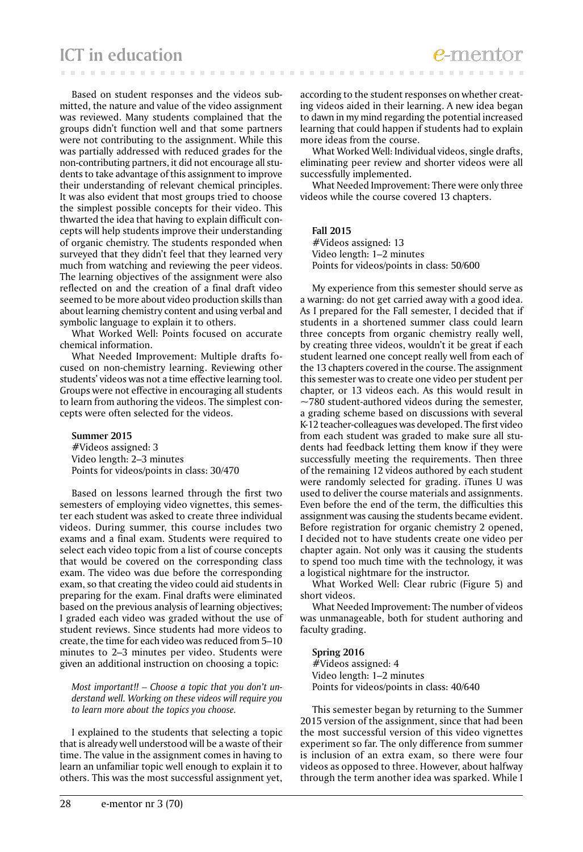Based on student responses and the videos submitted, the nature and value of the video assignment was reviewed. Many students complained that the groups didn't function well and that some partners were not contributing to the assignment. While this was partially addressed with reduced grades for the non-contributing partners, it did not encourage all students to take advantage of this assignment to improve their understanding of relevant chemical principles. It was also evident that most groups tried to choose the simplest possible concepts for their video. This thwarted the idea that having to explain difficult concepts will help students improve their understanding of organic chemistry. The students responded when surveyed that they didn't feel that they learned very much from watching and reviewing the peer videos. The learning objectives of the assignment were also reflected on and the creation of a final draft video seemed to be more about video production skills than about learning chemistry content and using verbal and symbolic language to explain it to others.

What Worked Well: Points focused on accurate chemical information.

What Needed Improvement: Multiple drafts focused on non-chemistry learning. Reviewing other students' videos was not a time effective learning tool. Groups were not effective in encouraging all students to learn from authoring the videos. The simplest concepts were often selected for the videos.

**Summer 2015** #Videos assigned: 3 Video length: 2–3 minutes Points for videos/points in class: 30/470

Based on lessons learned through the first two semesters of employing video vignettes, this semester each student was asked to create three individual videos. During summer, this course includes two exams and a final exam. Students were required to select each video topic from a list of course concepts that would be covered on the corresponding class exam. The video was due before the corresponding exam, so that creating the video could aid students in preparing for the exam. Final drafts were eliminated based on the previous analysis of learning objectives; I graded each video was graded without the use of student reviews. Since students had more videos to create, the time for each video was reduced from 5–10 minutes to 2–3 minutes per video. Students were given an additional instruction on choosing a topic:

 *Most important!! – Choose a topic that you don't understand well. Working on these videos will require you to learn more about the topics you choose.*

I explained to the students that selecting a topic that is already well understood will be a waste of their time. The value in the assignment comes in having to learn an unfamiliar topic well enough to explain it to others. This was the most successful assignment yet, according to the student responses on whether creating videos aided in their learning. A new idea began to dawn in my mind regarding the potential increased learning that could happen if students had to explain more ideas from the course.

What Worked Well: Individual videos, single drafts, eliminating peer review and shorter videos were all successfully implemented.

What Needed Improvement: There were only three videos while the course covered 13 chapters.

#### **Fall 2015**

#Videos assigned: 13 Video length: 1–2 minutes Points for videos/points in class: 50/600

My experience from this semester should serve as a warning: do not get carried away with a good idea. As I prepared for the Fall semester, I decided that if students in a shortened summer class could learn three concepts from organic chemistry really well, by creating three videos, wouldn't it be great if each student learned one concept really well from each of the 13 chapters covered in the course. The assignment this semester was to create one video per student per chapter, or 13 videos each. As this would result in  $\sim$ 780 student-authored videos during the semester, a grading scheme based on discussions with several K-12 teacher-colleagues was developed. The first video from each student was graded to make sure all students had feedback letting them know if they were successfully meeting the requirements. Then three of the remaining 12 videos authored by each student were randomly selected for grading. iTunes U was used to deliver the course materials and assignments. Even before the end of the term, the difficulties this assignment was causing the students became evident. Before registration for organic chemistry 2 opened, I decided not to have students create one video per chapter again. Not only was it causing the students to spend too much time with the technology, it was a logistical nightmare for the instructor.

What Worked Well: Clear rubric (Figure 5) and short videos.

What Needed Improvement: The number of videos was unmanageable, both for student authoring and faculty grading.

#### **Spring 2016**

#Videos assigned: 4 Video length: 1–2 minutes Points for videos/points in class: 40/640

This semester began by returning to the Summer 2015 version of the assignment, since that had been the most successful version of this video vignettes experiment so far. The only difference from summer is inclusion of an extra exam, so there were four videos as opposed to three. However, about halfway through the term another idea was sparked. While I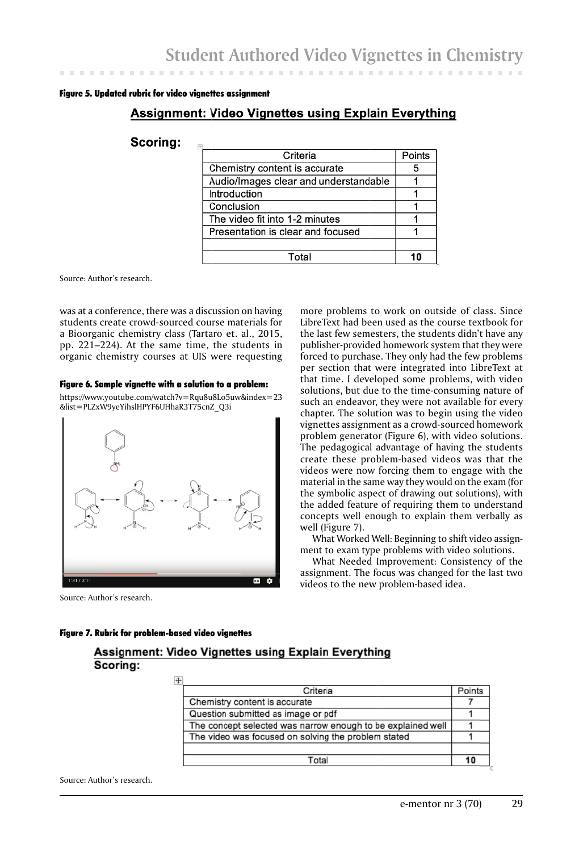#### Figure 5. Updated rubric for video vignettes assignment

# **Assignment: Video Vignettes using Explain Everything**

# Scorina:

| Criteria                              | Points |
|---------------------------------------|--------|
| Chemistry content is accurate         |        |
| Audio/Images clear and understandable |        |
| Introduction                          |        |
| Conclusion                            |        |
| The video fit into 1-2 minutes        |        |
| Presentation is clear and focused     |        |
|                                       |        |
| Total                                 |        |

Source: Author's research.

was at a conference, there was a discussion on having students create crowd-sourced course materials for a Bioorganic chemistry class (Tartaro et. al., 2015, pp. 221–224). At the same time, the students in organic chemistry courses at UIS were requesting

#### Figure 6. Sample vignette with a solution to a problem:

https://www.youtube.com/watch?v=Rqu8u8Lo5uw&index=23 &list=PLZxW9yeYihslHPYF6UHhaR3T75cnZ\_Q3i



Source: Author's research.

more problems to work on outside of class. Since LibreText had been used as the course textbook for the last few semesters, the students didn't have any publisher-provided homework system that they were forced to purchase. They only had the few problems per section that were integrated into LibreText at that time. I developed some problems, with video solutions, but due to the time-consuming nature of such an endeavor, they were not available for every chapter. The solution was to begin using the video vignettes assignment as a crowd-sourced homework problem generator (Figure 6), with video solutions. The pedagogical advantage of having the students create these problem-based videos was that the videos were now forcing them to engage with the material in the same way they would on the exam (for the symbolic aspect of drawing out solutions), with the added feature of requiring them to understand concepts well enough to explain them verbally as well (Figure 7).

What Worked Well: Beginning to shift video assignment to exam type problems with video solutions.

What Needed Improvement: Consistency of the assignment. The focus was changed for the last two videos to the new problem-based idea.

#### Figure 7. Rubric for problem-based video vignettes

# Assignment: Video Vignettes using Explain Everything Scorina:

| Criteria                                                    | Points |
|-------------------------------------------------------------|--------|
| Chemistry content is accurate                               |        |
| Question submitted as image or pdf                          |        |
| The concept selected was narrow enough to be explained well |        |
| The video was focused on solving the problem stated         |        |
|                                                             |        |
| Total                                                       |        |
|                                                             |        |

Source: Author's research.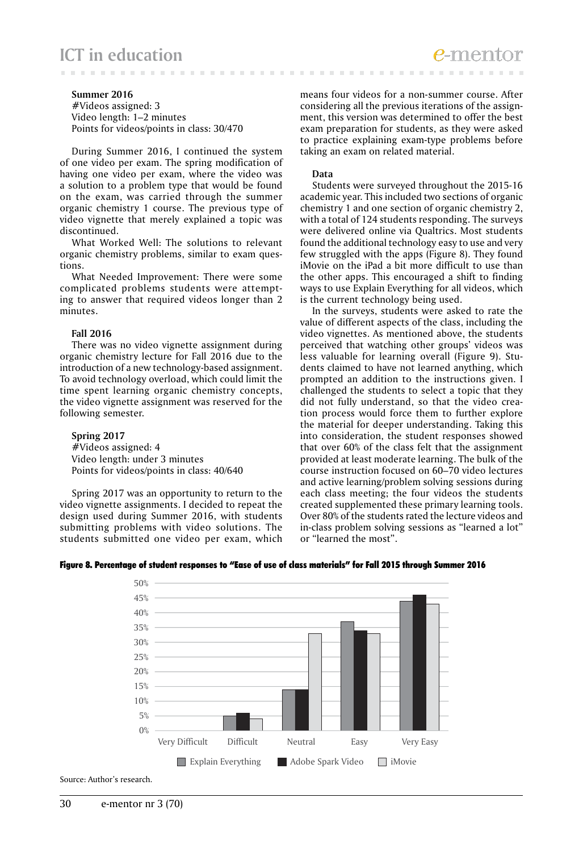# **ICT in education**

#### **Summer 2016**

#Videos assigned: 3 Video length: 1–2 minutes Points for videos/points in class: 30/470

During Summer 2016, I continued the system of one video per exam. The spring modification of having one video per exam, where the video was a solution to a problem type that would be found on the exam, was carried through the summer organic chemistry 1 course. The previous type of video vignette that merely explained a topic was discontinued.

What Worked Well: The solutions to relevant organic chemistry problems, similar to exam questions.

What Needed Improvement: There were some complicated problems students were attempting to answer that required videos longer than 2 minutes.

#### **Fall 2016**

There was no video vignette assignment during organic chemistry lecture for Fall 2016 due to the introduction of a new technology-based assignment. To avoid technology overload, which could limit the time spent learning organic chemistry concepts, the video vignette assignment was reserved for the following semester.

# **Spring 2017**

#Videos assigned: 4 Video length: under 3 minutes Points for videos/points in class: 40/640

50%

Spring 2017 was an opportunity to return to the video vignette assignments. I decided to repeat the design used during Summer 2016, with students submitting problems with video solutions. The students submitted one video per exam, which means four videos for a non-summer course. After considering all the previous iterations of the assignment, this version was determined to offer the best exam preparation for students, as they were asked to practice explaining exam-type problems before taking an exam on related material.

#### **Data**

Students were surveyed throughout the 2015-16 academic year. This included two sections of organic chemistry 1 and one section of organic chemistry 2, with a total of 124 students responding. The surveys were delivered online via Qualtrics. Most students found the additional technology easy to use and very few struggled with the apps (Figure 8). They found iMovie on the iPad a bit more difficult to use than the other apps. This encouraged a shift to finding ways to use Explain Everything for all videos, which is the current technology being used.

In the surveys, students were asked to rate the value of different aspects of the class, including the video vignettes. As mentioned above, the students perceived that watching other groups' videos was less valuable for learning overall (Figure 9). Students claimed to have not learned anything, which prompted an addition to the instructions given. I challenged the students to select a topic that they did not fully understand, so that the video creation process would force them to further explore the material for deeper understanding. Taking this into consideration, the student responses showed that over 60% of the class felt that the assignment provided at least moderate learning. The bulk of the course instruction focused on 60–70 video lectures and active learning/problem solving sessions during each class meeting; the four videos the students created supplemented these primary learning tools. Over 80% of the students rated the lecture videos and in-class problem solving sessions as "learned a lot" or "learned the most".



#### Figure 8. Percentage of student responses to "Ease of use of class materials" for Fall 2015 through Summer 2016

Source: Author's research.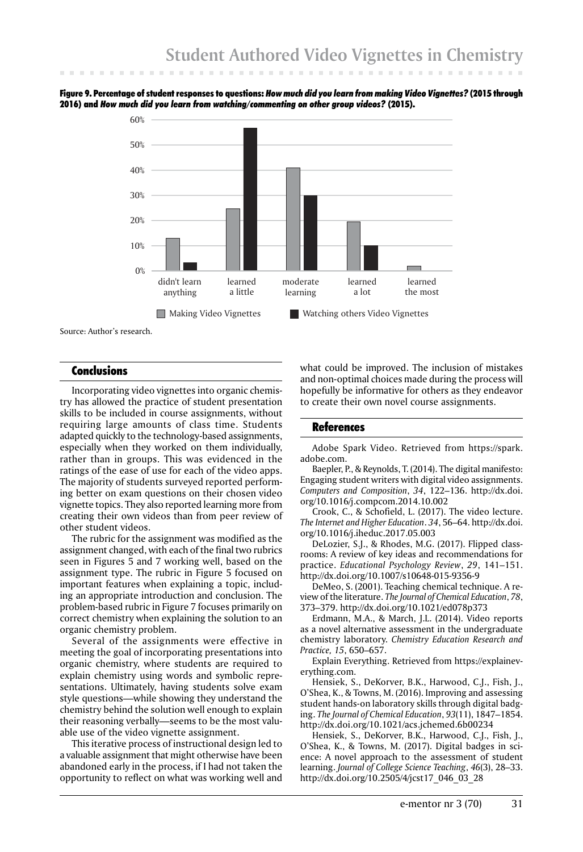

Figure 9. Percentage of student responses to questions: *How much did you learn from making Video Vignettes?* (2015 through 2016) and *How much did you learn from watching/commenting on other group videos?* (2015).

Source: Author's research.

60%

# Conclusions

Incorporating video vignettes into organic chemistry has allowed the practice of student presentation skills to be included in course assignments, without requiring large amounts of class time. Students adapted quickly to the technology-based assignments, especially when they worked on them individually, rather than in groups. This was evidenced in the ratings of the ease of use for each of the video apps. The majority of students surveyed reported performing better on exam questions on their chosen video vignette topics. They also reported learning more from creating their own videos than from peer review of other student videos.

The rubric for the assignment was modified as the assignment changed, with each of the final two rubrics seen in Figures 5 and 7 working well, based on the assignment type. The rubric in Figure 5 focused on important features when explaining a topic, including an appropriate introduction and conclusion. The problem-based rubric in Figure 7 focuses primarily on correct chemistry when explaining the solution to an organic chemistry problem.

Several of the assignments were effective in meeting the goal of incorporating presentations into organic chemistry, where students are required to explain chemistry using words and symbolic representations. Ultimately, having students solve exam style questions—while showing they understand the chemistry behind the solution well enough to explain their reasoning verbally—seems to be the most valuable use of the video vignette assignment.

This iterative process of instructional design led to a valuable assignment that might otherwise have been abandoned early in the process, if I had not taken the opportunity to reflect on what was working well and

what could be improved. The inclusion of mistakes and non-optimal choices made during the process will hopefully be informative for others as they endeavor to create their own novel course assignments.

# **References**

Adobe Spark Video. Retrieved from https://spark. adobe.com.

Baepler, P., & Reynolds, T. (2014). The digital manifesto: Engaging student writers with digital video assignments. *Computers and Composition*, *34*, 122–136. http://dx.doi. org/10.1016/j.compcom.2014.10.002

Crook, C., & Schofield, L. (2017). The video lecture. *The Internet and Higher Education*. *34*, 56–64. http://dx.doi. org/10.1016/j.iheduc.2017.05.003

DeLozier, S.J., & Rhodes, M.G. (2017). Flipped classrooms: A review of key ideas and recommendations for practice. *Educational Psychology Review*, *29*, 141–151. http://dx.doi.org/10.1007/s10648-015-9356-9

DeMeo, S. (2001). Teaching chemical technique. A review of the literature. *The Journal of Chemical Education*, *78*, 373–379. http://dx.doi.org/10.1021/ed078p373

Erdmann, M.A., & March, J.L. (2014). Video reports as a novel alternative assessment in the undergraduate chemistry laboratory. *Chemistry Education Research and Practice, 15*, 650–657.

Explain Everything. Retrieved from https://explaineverything.com.

Hensiek, S., DeKorver, B.K., Harwood, C.J., Fish, J., O'Shea, K., & Towns, M. (2016). Improving and assessing student hands-on laboratory skills through digital badging. *The Journal of Chemical Education*, *93*(11), 1847–1854. http://dx.doi.org/10.1021/acs.jchemed.6b00234

Hensiek, S., DeKorver, B.K., Harwood, C.J., Fish, J., O'Shea, K., & Towns, M. (2017). Digital badges in science: A novel approach to the assessment of student learning. *Journal of College Science Teaching*, *46*(3), 28–33. http://dx.doi.org/10.2505/4/jcst17\_046\_03\_28